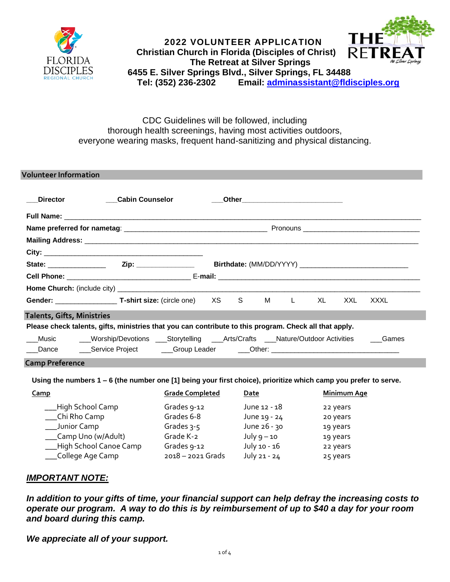

## **2022 VOLUNTEER APPLICATION Christian Church in Florida (Disciples of Christ)** RFTR  **The Retreat at Silver Springs 6455 E. Silver Springs Blvd., Silver Springs, FL 34488 Tel: (352) 236-2302 Email: adminassistant[@fldisciples.org](mailto:adminassistant@fldisciples.org)**

# CDC Guidelines will be followed, including thorough health screenings, having most activities outdoors, everyone wearing masks, frequent hand-sanitizing and physical distancing.

| <b>Volunteer Information</b>                                                                           |                                                                                  |  |  |  |  |                                         |     |       |
|--------------------------------------------------------------------------------------------------------|----------------------------------------------------------------------------------|--|--|--|--|-----------------------------------------|-----|-------|
| <b>Director</b>                                                                                        | <b>Cabin Counselor</b>                                                           |  |  |  |  | ____Other______________________________ |     |       |
|                                                                                                        |                                                                                  |  |  |  |  |                                         |     |       |
|                                                                                                        |                                                                                  |  |  |  |  |                                         |     |       |
|                                                                                                        |                                                                                  |  |  |  |  |                                         |     |       |
|                                                                                                        |                                                                                  |  |  |  |  |                                         |     |       |
|                                                                                                        |                                                                                  |  |  |  |  |                                         |     |       |
|                                                                                                        |                                                                                  |  |  |  |  |                                         |     |       |
|                                                                                                        |                                                                                  |  |  |  |  |                                         |     |       |
|                                                                                                        |                                                                                  |  |  |  |  | XL —                                    | XXL | XXXL  |
| <b>Talents, Gifts, Ministries</b>                                                                      |                                                                                  |  |  |  |  |                                         |     |       |
| Please check talents, gifts, ministries that you can contribute to this program. Check all that apply. |                                                                                  |  |  |  |  |                                         |     |       |
| Music                                                                                                  | ___Worship/Devotions ___Storytelling ___Arts/Crafts ___Nature/Outdoor Activities |  |  |  |  |                                         |     | Games |
| <b>Camp Preference</b>                                                                                 |                                                                                  |  |  |  |  |                                         |     |       |

## **Using the numbers 1 – 6 (the number one [1] being your first choice), prioritize which camp you prefer to serve.**

| <u>Camp</u>              | <b>Grade Completed</b> | Date          | <b>Minimum Age</b> |
|--------------------------|------------------------|---------------|--------------------|
| ___High School Camp      | Grades 9-12            | June 12 - 18  | 22 years           |
| ___Chi Rho Camp          | Grades 6-8             | June 19 - 24  | 20 years           |
| ___Junior Camp           | Grades $3-5$           | June 26 - 30  | 19 years           |
| ___Camp Uno (w/Adult)    | Grade K-2              | July $9 - 10$ | 19 years           |
| __High School Canoe Camp | Grades 9-12            | July 10 - 16  | 22 years           |
| ___College Age Camp      | $2018 - 2021$ Grads    | July 21 - 24  | 25 years           |

# *IMPORTANT NOTE:*

*In addition to your gifts of time, your financial support can help defray the increasing costs to operate our program. A way to do this is by reimbursement of up to \$40 a day for your room and board during this camp.* 

*We appreciate all of your support.*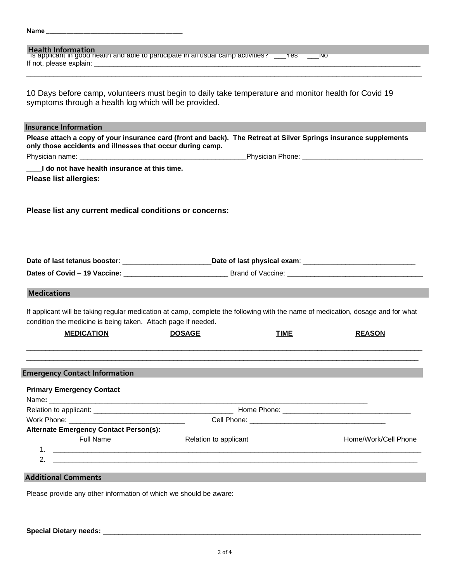| <b>Health Information</b><br>is applicant in good nealth and able to participate in all usual camp activities? ____res ____No                                                                    |                       |             |                      |
|--------------------------------------------------------------------------------------------------------------------------------------------------------------------------------------------------|-----------------------|-------------|----------------------|
|                                                                                                                                                                                                  |                       |             |                      |
| 10 Days before camp, volunteers must begin to daily take temperature and monitor health for Covid 19<br>symptoms through a health log which will be provided.                                    |                       |             |                      |
| <b>Insurance Information</b>                                                                                                                                                                     |                       |             |                      |
| Please attach a copy of your insurance card (front and back). The Retreat at Silver Springs insurance supplements<br>only those accidents and illnesses that occur during camp.                  |                       |             |                      |
|                                                                                                                                                                                                  |                       |             |                      |
| I do not have health insurance at this time.                                                                                                                                                     |                       |             |                      |
| <b>Please list allergies:</b>                                                                                                                                                                    |                       |             |                      |
| Please list any current medical conditions or concerns:                                                                                                                                          |                       |             |                      |
|                                                                                                                                                                                                  |                       |             |                      |
|                                                                                                                                                                                                  |                       |             |                      |
|                                                                                                                                                                                                  |                       |             |                      |
|                                                                                                                                                                                                  |                       |             |                      |
| <b>Medications</b>                                                                                                                                                                               |                       |             |                      |
| If applicant will be taking regular medication at camp, complete the following with the name of medication, dosage and for what<br>condition the medicine is being taken. Attach page if needed. |                       |             |                      |
| <b>MEDICATION</b>                                                                                                                                                                                | <b>DOSAGE</b>         | <b>TIME</b> | <b>REASON</b>        |
| <b>Emergency Contact Information</b>                                                                                                                                                             |                       |             |                      |
| <b>Primary Emergency Contact</b>                                                                                                                                                                 |                       |             |                      |
|                                                                                                                                                                                                  |                       |             |                      |
|                                                                                                                                                                                                  |                       |             |                      |
| <b>Alternate Emergency Contact Person(s):</b><br><b>Full Name</b>                                                                                                                                | Relation to applicant |             | Home/Work/Cell Phone |
| 2.<br><u> Alexandro de la contrada de la contrada de la contrada de la contrada de la contrada de la contrada de la con</u>                                                                      |                       |             |                      |
| <b>Additional Comments</b>                                                                                                                                                                       |                       |             |                      |
| Please provide any other information of which we should be aware:                                                                                                                                |                       |             |                      |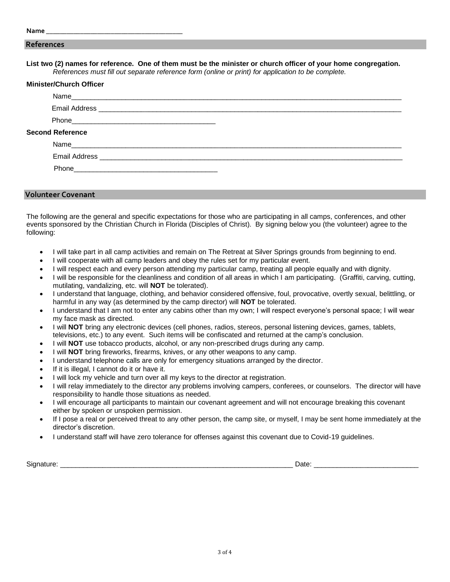#### **References**

**List two (2) names for reference. One of them must be the minister or church officer of your home congregation.** *References must fill out separate reference form (online or print) for application to be complete.*

| <b>Minister/Church Officer</b>                                                                                 |  |
|----------------------------------------------------------------------------------------------------------------|--|
|                                                                                                                |  |
|                                                                                                                |  |
|                                                                                                                |  |
| <b>Second Reference</b>                                                                                        |  |
|                                                                                                                |  |
|                                                                                                                |  |
| Phone 2008 2010 2021 2022 2023 2024 2022 2022 2023 2024 2022 2023 2024 2022 2023 2024 2022 2023 2024 2022 2023 |  |
|                                                                                                                |  |

### **Volunteer Covenant**

The following are the general and specific expectations for those who are participating in all camps, conferences, and other events sponsored by the Christian Church in Florida (Disciples of Christ). By signing below you (the volunteer) agree to the following:

- I will take part in all camp activities and remain on The Retreat at Silver Springs grounds from beginning to end.
- I will cooperate with all camp leaders and obey the rules set for my particular event.
- I will respect each and every person attending my particular camp, treating all people equally and with dignity.
- I will be responsible for the cleanliness and condition of all areas in which I am participating. (Graffiti, carving, cutting, mutilating, vandalizing, etc. will **NOT** be tolerated).
- I understand that language, clothing, and behavior considered offensive, foul, provocative, overtly sexual, belittling, or harmful in any way (as determined by the camp director) will **NOT** be tolerated.
- I understand that I am not to enter any cabins other than my own; I will respect everyone's personal space; I will wear my face mask as directed.
- I will **NOT** bring any electronic devices (cell phones, radios, stereos, personal listening devices, games, tablets, televisions, etc.) to any event. Such items will be confiscated and returned at the camp's conclusion.
- I will **NOT** use tobacco products, alcohol, or any non-prescribed drugs during any camp.
- I will **NOT** bring fireworks, firearms, knives, or any other weapons to any camp.
- I understand telephone calls are only for emergency situations arranged by the director.
- If it is illegal, I cannot do it or have it.
- I will lock my vehicle and turn over all my keys to the director at registration.
- I will relay immediately to the director any problems involving campers, conferees, or counselors. The director will have responsibility to handle those situations as needed.
- I will encourage all participants to maintain our covenant agreement and will not encourage breaking this covenant either by spoken or unspoken permission.
- If I pose a real or perceived threat to any other person, the camp site, or myself, I may be sent home immediately at the director's discretion.
- I understand staff will have zero tolerance for offenses against this covenant due to Covid-19 guidelines.

Signature: \_\_\_\_\_\_\_\_\_\_\_\_\_\_\_\_\_\_\_\_\_\_\_\_\_\_\_\_\_\_\_\_\_\_\_\_\_\_\_\_\_\_\_\_\_\_\_\_\_\_\_\_\_\_\_\_\_\_\_\_ Date: \_\_\_\_\_\_\_\_\_\_\_\_\_\_\_\_\_\_\_\_\_\_\_\_\_\_\_